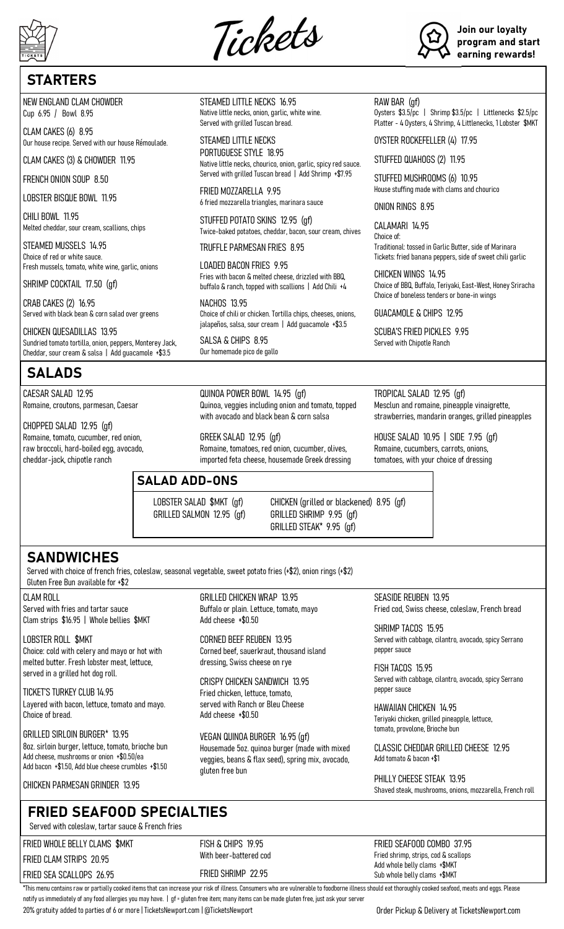





# **STARTERS**

NEW ENGLAND CLAM CHOWDER Cup 6.95 / Bowl 8.95

CLAM CAKES (6) 8.95 Our house recipe. Served with our house Rémoulade.

CLAM CAKES (3) & CHOWDER 11.95

FRENCH ONION SOUP 8.50

LOBSTER BISQUE BOWL 11.95

CHILI BOWL 11.95 Melted cheddar, sour cream, scallions, chips

STEAMED MUSSELS 14.95 Choice of red or white sauce. Fresh mussels, tomato, white wine, garlic, onions

SHRIMP COCKTAIL 17.50 (gf)

CRAB CAKES (2) 16.95 Served with black bean & corn salad over greens

CHICKEN QUESADILLAS 13.95 Sundried tomato tortilla, onion, peppers, Monterey Jack, Cheddar, sour cream & salsa | Add guacamole +\$3.5

# SALADS

CAESAR SALAD 12.95 Romaine, croutons, parmesan, Caesar

CHOPPED SALAD 12.95 (gf)

Romaine, tomato, cucumber, red onion, raw broccoli, hard-boiled egg, avocado, cheddar-jack, chipotle ranch

STEAMED LITTLE NECKS 16.95 Native little necks, onion, garlic, white wine. Served with grilled Tuscan bread.

STEAMED LITTLE NECKS PORTUGUESE STYLE 18.95 Native little necks, chourico, onion, garlic, spicy red sauce. Served with grilled Tuscan bread | Add Shrimp +\$7.95

FRIED MOZZARELLA 9.95 6 fried mozzarella triangles, marinara sauce

STUFFED POTATO SKINS 12.95 (gf) Twice-baked potatoes, cheddar, bacon, sour cream, chives

TRUFFLE PARMESAN FRIES 8.95

LOADED BACON FRIES 9.95 Fries with bacon & melted cheese, drizzled with BBQ, buffalo & ranch, topped with scallions | Add Chili +4

NACHOS 13.95 Choice of chili or chicken. Tortilla chips, cheeses, onions, jalapeños, salsa, sour cream | Add guacamole +\$3.5

SALSA & CHIPS 8.95 Our homemade pico de gallo

QUINOA POWER BOWL 14.95 (gf) Quinoa, veggies including onion and tomato, topped with avocado and black bean & corn salsa

GREEK SALAD 12.95 (gf) Romaine, tomatoes, red onion, cucumber, olives, imported feta cheese, housemade Greek dressing

GRILLED CHICKEN WRAP 13.95 Buffalo or plain. Lettuce, tomato, mayo

CORNED BEEF REUBEN 13.95

dressing, Swiss cheese on rye

CRISPY CHICKEN SANDWICH 13.95 Fried chicken, lettuce, tomato, served with Ranch or Bleu Cheese

VEGAN QUINOA BURGER 16.95 (gf)

Housemade 5oz. quinoa burger (made with mixed veggies, beans & flax seed), spring mix, avocado,

Corned beef, sauerkraut, thousand island

Add cheese +\$0.50

Add cheese +\$0.50

gluten free bun

### SALAD ADD-ONS

LOBSTER SALAD \$MKT (gf) GRILLED SALMON 12.95 (gf) CHICKEN (grilled or blackened) 8.95 (gf) GRILLED SHRIMP 9.95 (gf) GRILLED STEAK\* 9.95 (gf)

**SANDWICHES** 

Served with choice of french fries, coleslaw, seasonal vegetable, sweet potato fries (+\$2), onion rings (+\$2) Gluten Free Bun available for +\$2

CLAM ROLL Served with fries and tartar sauce Clam strips \$16.95 | Whole bellies \$MKT

LOBSTER ROLL \$MKT Choice: cold with celery and mayo or hot with melted butter. Fresh lobster meat, lettuce, served in a grilled hot dog roll.

TICKET'S TURKEY CLUB 14.95 Layered with bacon, lettuce, tomato and mayo. Choice of bread.

GRILLED SIRLOIN BURGER\* 13.95 8oz. sirloin burger, lettuce, tomato, brioche bun Add cheese, mushrooms or onion +\$0.50/ea Add bacon +\$1.50, Add blue cheese crumbles +\$1.50

CHICKEN PARMESAN GRINDER 13.95

## FRIED SEAFOOD SPECIALTIES

Served with coleslaw, tartar sauce & French fries

FRIED WHOLE BELLY CLAMS \$MKT

FRIED CLAM STRIPS 20.95 FRIED SEA SCALLOPS 26.95 FISH & CHIPS 19.95 With beer-battered cod FRIED SHRIMP 22.95

HAWAIIAN CHICKEN 14.95

Teriyaki chicken, grilled pineapple, lettuce, tomato, provolone, Brioche bun

CLASSIC CHEDDAR GRILLED CHEESE 12.95

Shaved steak, mushrooms, onions, mozzarella, French roll

FRIED SEAFOOD COMBO 37.95 Fried shrimp, strips, cod & scallops Add whole belly clams +\$MKT Sub whole belly clams +\$MKT

\*This menu contains raw or partially cooked items that can increase your risk of illness. Consumers who are vulnerable to foodborne illness should eat thoroughly cooked seafood, meats and eggs. Please notify us immediately of any food allergies you may have. | gf = gluten free item; many items can be made gluten free, just ask your server

20% gratuity added to parties of 6 or more | TicketsNewport.com | @TicketsNewport Order Pickup & Delivery at TicketsNewport.com

RAW BAR (gf) Oysters \$3.5/pc | Shrimp \$3.5/pc | Littlenecks \$2.5/pc

Platter - 4 Oysters, 4 Shrimp, 4 Littlenecks, 1 Lobster \$MKT

OYSTER ROCKEFELLER (4) 17.95

STUFFED QUAHOGS (2) 11.95

STUFFED MUSHROOMS (6) 10.95 House stuffing made with clams and chourico

ONION RINGS 8.95

CALAMARI 14.95 Choice of: Traditional: tossed in Garlic Butter, side of Marinara Tickets: fried banana peppers, side of sweet chili garlic

CHICKEN WINGS 1495 Choice of BBQ, Buffalo, Teriyaki, East-West, Honey Sriracha Choice of boneless tenders or bone-in wings

GUACAMOLE & CHIPS 12.95

SCURA'S FRIED PICKLES 995 Served with Chipotle Ranch

TROPICAL SALAD 12.95 (gf) Mesclun and romaine, pineapple vinaigrette, strawberries, mandarin oranges, grilled pineapples

HOUSE SALAD 10.95 | SIDE 7.95 (gf) Romaine, cucumbers, carrots, onions, tomatoes, with your choice of dressing

SEASIDE REUBEN 13.95 Fried cod, Swiss cheese, coleslaw, French bread

SHRIMP TACOS 15.95 Served with cabbage, cilantro, avocado, spicy Serrano pepper sauce

FISH TACOS 15.95 Served with cabbage, cilantro, avocado, spicy Serrano pepper sauce

Add tomato & bacon +\$1 PHILLY CHEESE STEAK 13.95